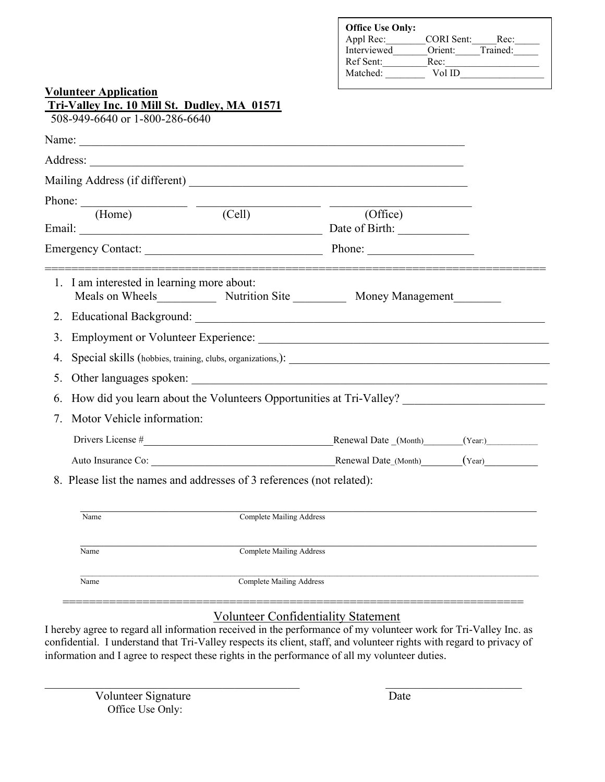| <b>Volunteer Application</b>                                                                                  | <b>Office Use Only:</b><br>Appl Rec: _________CORI Sent: ______Rec: ______<br>Interviewed________Orient:______Trained:______<br>Ref Sent: Rec: |
|---------------------------------------------------------------------------------------------------------------|------------------------------------------------------------------------------------------------------------------------------------------------|
| Tri-Valley Inc. 10 Mill St. Dudley, MA 01571                                                                  |                                                                                                                                                |
| 508-949-6640 or 1-800-286-6640                                                                                |                                                                                                                                                |
|                                                                                                               |                                                                                                                                                |
| Address: 2008. 2008. 2009. 2010. 2010. 2010. 2010. 2010. 2010. 2010. 2010. 2010. 2010. 2010. 2010. 2010. 2010 |                                                                                                                                                |
|                                                                                                               |                                                                                                                                                |
| Phone: $\frac{1}{(Home)}$ $\frac{1}{(Cell)}$                                                                  |                                                                                                                                                |
|                                                                                                               | (Office)                                                                                                                                       |
|                                                                                                               |                                                                                                                                                |
|                                                                                                               |                                                                                                                                                |
| 1. I am interested in learning more about:                                                                    | Meals on Wheels Mutrition Site Money Management                                                                                                |
|                                                                                                               |                                                                                                                                                |
|                                                                                                               | 3. Employment or Volunteer Experience:                                                                                                         |
|                                                                                                               |                                                                                                                                                |
|                                                                                                               |                                                                                                                                                |
|                                                                                                               | 6. How did you learn about the Volunteers Opportunities at Tri-Valley? ____________________________                                            |
| 7. Motor Vehicle information:                                                                                 |                                                                                                                                                |
|                                                                                                               | Drivers License # Renewal Date (Month) (Year:) (Year:)                                                                                         |
| Auto Insurance Co:                                                                                            | Renewal Date (Month)<br>(Year)                                                                                                                 |
| 8. Please list the names and addresses of 3 references (not related):                                         |                                                                                                                                                |
|                                                                                                               |                                                                                                                                                |
| Name                                                                                                          | <b>Complete Mailing Address</b>                                                                                                                |
| Name                                                                                                          | <b>Complete Mailing Address</b>                                                                                                                |
| <b>Complete Mailing Address</b><br>Name                                                                       |                                                                                                                                                |

## Volunteer Confidentiality Statement

I hereby agree to regard all information received in the performance of my volunteer work for Tri-Valley Inc. as confidential. I understand that Tri-Valley respects its client, staff, and volunteer rights with regard to privacy of information and I agree to respect these rights in the performance of all my volunteer duties.

 $\_$  , and the contribution of the contribution of  $\overline{a}$  , and  $\overline{a}$  , and  $\overline{a}$  , and  $\overline{a}$  , and  $\overline{a}$  , and  $\overline{a}$ 

=====================================================================

Volunteer Signature Date Office Use Only: